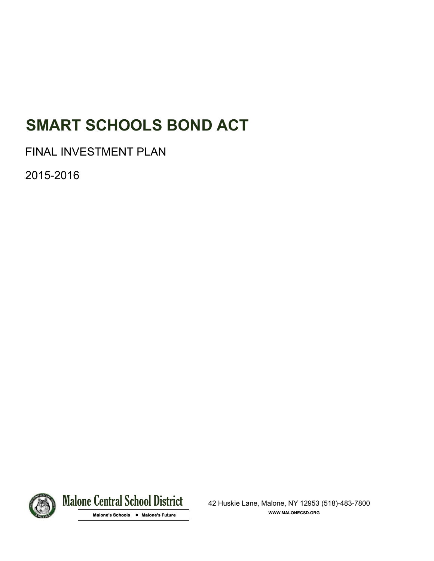# **SMART SCHOOLS BOND ACT**

FINAL INVESTMENT PLAN

2015-2016



Malone Central School District 42 Huskie Lane, Malone, NY 12953 (518)-483-7800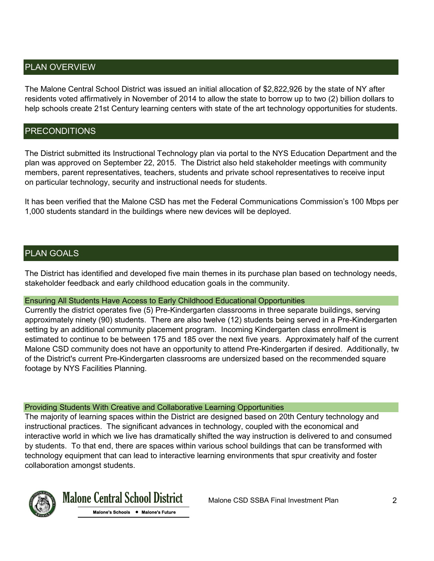# PLAN OVERVIEW

The Malone Central School District was issued an initial allocation of \$2,822,926 by the state of NY after residents voted affirmatively in November of 2014 to allow the state to borrow up to two (2) billion dollars to help schools create 21st Century learning centers with state of the art technology opportunities for students.

## PRECONDITIONS

The District submitted its Instructional Technology plan via portal to the NYS Education Department and the plan was approved on September 22, 2015. The District also held stakeholder meetings with community members, parent representatives, teachers, students and private school representatives to receive input on particular technology, security and instructional needs for students.

It has been verified that the Malone CSD has met the Federal Communications Commission's 100 Mbps per 1,000 students standard in the buildings where new devices will be deployed.

## PLAN GOALS

The District has identified and developed five main themes in its purchase plan based on technology needs, stakeholder feedback and early childhood education goals in the community.

#### Ensuring All Students Have Access to Early Childhood Educational Opportunities

Currently the district operates five (5) Pre-Kindergarten classrooms in three separate buildings, serving approximately ninety (90) students. There are also twelve (12) students being served in a Pre-Kindergarten setting by an additional community placement program. Incoming Kindergarten class enrollment is estimated to continue to be between 175 and 185 over the next five years. Approximately half of the current Malone CSD community does not have an opportunity to attend Pre-Kindergarten if desired. Additionally, tw of the District's current Pre-Kindergarten classrooms are undersized based on the recommended square footage by NYS Facilities Planning.

#### Providing Students With Creative and Collaborative Learning Opportunities

The majority of learning spaces within the District are designed based on 20th Century technology and instructional practices. The significant advances in technology, coupled with the economical and interactive world in which we live has dramatically shifted the way instruction is delivered to and consumed by students. To that end, there are spaces within various school buildings that can be transformed with technology equipment that can lead to interactive learning environments that spur creativity and foster collaboration amongst students.



Malone Central School District Malone CSD SSBA Final Investment Plan 2

 **Malone's Schools • Malone's Future**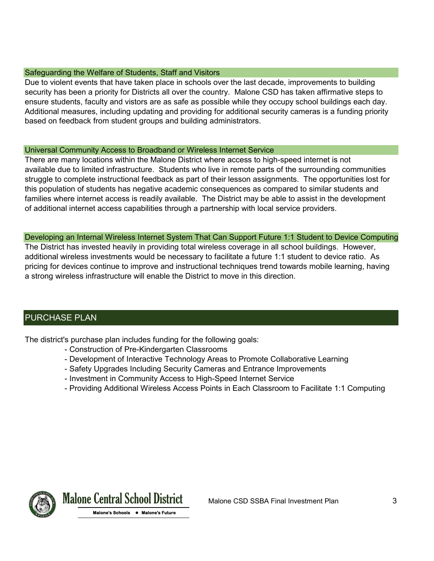#### Safeguarding the Welfare of Students, Staff and Visitors

Due to violent events that have taken place in schools over the last decade, improvements to building security has been a priority for Districts all over the country. Malone CSD has taken affirmative steps to ensure students, faculty and vistors are as safe as possible while they occupy school buildings each day. Additional measures, including updating and providing for additional security cameras is a funding priority based on feedback from student groups and building administrators.

#### Universal Community Access to Broadband or Wireless Internet Service

There are many locations within the Malone District where access to high-speed internet is not available due to limited infrastructure. Students who live in remote parts of the surrounding communities struggle to complete instructional feedback as part of their lesson assignments. The opportunities lost for this population of students has negative academic consequences as compared to similar students and families where internet access is readily available. The District may be able to assist in the development of additional internet access capabilities through a partnership with local service providers.

Developing an Internal Wireless Internet System That Can Support Future 1:1 Student to Device Computing The District has invested heavily in providing total wireless coverage in all school buildings. However, additional wireless investments would be necessary to facilitate a future 1:1 student to device ratio. As pricing for devices continue to improve and instructional techniques trend towards mobile learning, having a strong wireless infrastructure will enable the District to move in this direction.

# PURCHASE PLAN

The district's purchase plan includes funding for the following goals:

- Construction of Pre-Kindergarten Classrooms
- Development of Interactive Technology Areas to Promote Collaborative Learning
- Safety Upgrades Including Security Cameras and Entrance Improvements
- Investment in Community Access to High-Speed Internet Service
- Providing Additional Wireless Access Points in Each Classroom to Facilitate 1:1 Computing



Malone Central School District Malone CSD SSBA Final Investment Plan 3

 **Malone's Schools • Malone's Future**